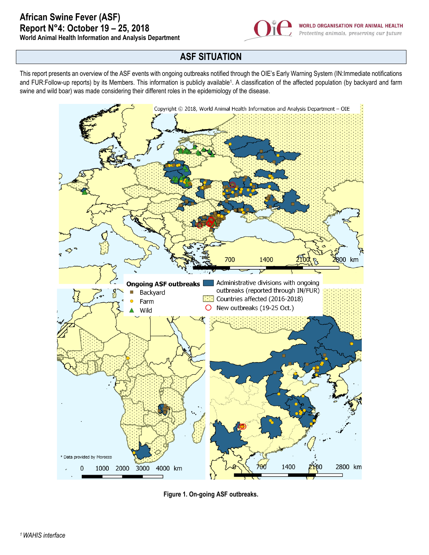

## **ASF SITUATION**

This report presents an overview of the ASF events with ongoing outbreaks notified through the OIE's Early Warning System (IN:Immediate notifications and FUR:Follow-up reports) by its Members. This information is publicly available<sup>1</sup> . A classification of the affected population (by backyard and farm swine and wild boar) was made considering their different roles in the epidemiology of the disease.



**Figure 1. On-going ASF outbreaks.**